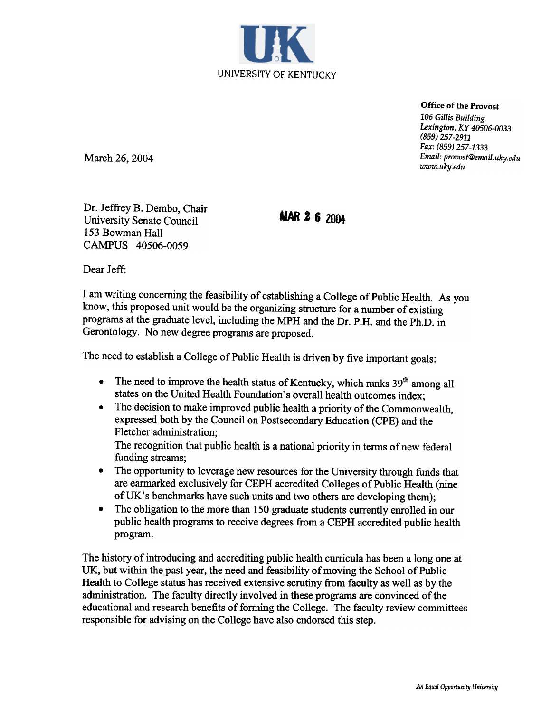

Office of the Provost 106 Gillis Building Lexington, KY 40506-0033 (859) 257-29:[1 Fax: (859) 257-1333 Email: provost@email.uky.edu www.uky.edu

March 26, 2004

Dr. Jeffrey B. Dembo, Chair University Senate Council 153 Bowman Hall CAMPUS 40506-0059

**MAR 2 6 2004** 

Dear Jeff:

I am writing concerning the feasibility of establishing a College of Public Health. As you know, this proposed unit would be the organizing structure for a number of existing programs at the graduate level, including the MPH and the Dr. P.H. and the Ph.D. in Gerontology. No new degree programs are proposed.

The need to establish a College of Public Health is driven by five important goals:

- The need to improve the health status of Kentucky, which ranks  $39<sup>th</sup>$  among all  $\bullet$ states on the United Health Foundation's overall health outcomes index;
- The decision to make improved public health a priority of the Commonwealth,  $\bullet$ expressed both by the Council on Postsecondary Education (CPE) and the Fletcher administration;

The recognition that public health is a national priority in terms of new federal funding streams;

- The opportunity to leverage new resources for the University through funds that  $\bullet$ are earmarked exclusively for CEPH accredited Colleges of Public Health (nine of UK's benchmarks have such units and two others are developing them);
- The obligation to the more than 150 graduate students currently enrolled in our  $\bullet$ public health programs to receive degrees from a CEPH accredited public health program.

The history of introducing and accrediting public health curricula has been a long one at UK, but within the past year, the need and feasibility of moving the School of Public Health to College status has received extensive scrutiny from faculty as well as by the administration. The faculty directly involved in these programs are convinced of the educational and research benefits of forming the College. The faculty review committees responsible for advising on the College have also endorsed this step.